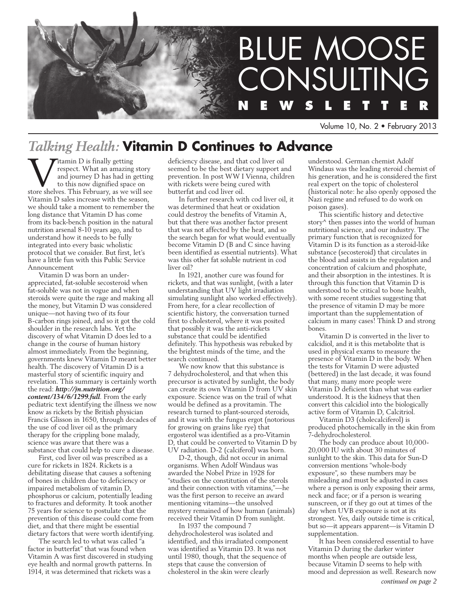

Volume 10, No. 2 • February 2013

# *Talking Health:* **Vitamin D Continues to Advance**

**WAREN SET SET SET SET SET SET SET SERVIDE SET SERVIDE SET SERVIDE SURFERENCE SERVIDE SURFERENCE SHOW SERVIDE SHOW SEE SHOW SHOWS SERVIDE SHOWS SERVIDE SHOWS SERVIDE SHOWS SERVIDE SHOWS SERVIDE SHOWS SHOWS SHOWS SHOWS SHOW** respect. What an amazing story and journey D has had in getting to this now dignified space on Vitamin D sales increase with the season, we should take a moment to remember the long distance that Vitamin D has come from its back-bench position in the natural nutrition arsenal 8-10 years ago, and to understand how it needs to be fully integrated into every basic wholistic protocol that we consider. But first, let's have a little fun with this Public Service Announcement

Vitamin D was born an underappreciated, fat-soluble secosteroid when fat-soluble was not in vogue and when steroids were quite the rage and making all the money, but Vitamin D was considered unique—not having two of its four B-carbon rings joined, and so it got the cold shoulder in the research labs. Yet the discovery of what Vitamin D does led to a change in the course of human history almost immediately. From the beginning, governments knew Vitamin D meant better health. The discovery of Vitamin D is a masterful story of scientific inquiry and revelation. This summary is certainly worth the read: *http://jn.nutrition.org/ content/134/6/1299.full*. From the early pediatric text identifying the illness we now know as rickets by the British physician Francis Glisson in 1650, through decades of the use of cod liver oil as the primary therapy for the crippling bone malady, science was aware that there was a substance that could help to cure a disease.

First, cod liver oil was prescribed as a cure for rickets in 1824. Rickets is a debilitating disease that causes a softening of bones in children due to deficiency or impaired metabolism of vitamin D, phosphorus or calcium, potentially leading to fractures and deformity. It took another 75 years for science to postulate that the prevention of this disease could come from diet, and that there might be essential dietary factors that were worth identifying.

The search led to what was called "a factor in butterfat" that was found when Vitamin A was first discovered in studying eye health and normal growth patterns. In 1914, it was determined that rickets was a

deficiency disease, and that cod liver oil seemed to be the best dietary support and prevention. In post WW I Vienna, children with rickets were being cured with butterfat and cod liver oil.

In further research with cod liver oil, it was determined that heat or oxidation could destroy the benefits of Vitamin A, but that there was another factor present that was not affected by the heat, and so the search began for what would eventually become Vitamin D (B and C since having been identified as essential nutrients). What was this other fat soluble nutrient in cod liver oil?

In 1921, another cure was found for rickets, and that was sunlight, (with a later understanding that UV light irradiation simulating sunlight also worked effectively). From here, for a clear recollection of scientific history, the conversation turned first to cholesterol, where it was posited that possibly it was the anti-rickets substance that could be identified definitely. This hypothesis was rebuked by the brightest minds of the time, and the search continued.

We now know that this substance is 7 dehydrocholesterol, and that when this precursor is activated by sunlight, the body can create its own Vitamin D from UV skin exposure. Science was on the trail of what would be defined as a provitamin. The research turned to plant-sourced steroids, and it was with the fungus ergot (notorious for growing on grains like rye) that ergosterol was identified as a pro-Vitamin D, that could be converted to Vitamin D by UV radiation. D-2 (calciferol) was born.

D-2, though, did not occur in animal organisms. When Adolf Windaus was awarded the Nobel Prize in 1928 for "studies on the constitution of the sterols and their connection with vitamins,"—he was the first person to receive an award mentioning vitamins—the unsolved mystery remained of how human (animals) received their Vitamin D from sunlight.

In 1937 the compound 7 dehydrocholesterol was isolated and identified, and this irradiated component was identified as Vitamin D3. It was not until 1980, though, that the sequence of steps that cause the conversion of cholesterol in the skin were clearly

understood. German chemist Adolf Windaus was the leading steroid chemist of his generation, and he is considered the first real expert on the topic of cholesterol (historical note: he also openly opposed the Nazi regime and refused to do work on poison gases).

This scientific history and detective story^ then passes into the world of human nutritional science, and our industry. The primary function that is recognized for Vitamin D is its function as a steroid-like substance (secosteroid) that circulates in the blood and assists in the regulation and concentration of calcium and phosphate, and their absorption in the intestines. It is through this function that Vitamin D is understood to be critical to bone health, with some recent studies suggesting that the presence of vitamin D may be more important than the supplementation of calcium in many cases! Think D and strong bones.

Vitamin D is converted in the liver to calcidiol, and it is this metabolite that is used in physical exams to measure the presence of Vitamin D in the body. When the tests for Vitamin D were adjusted (bettered) in the last decade, it was found that many, many more people were Vitamin D deficient than what was earlier understood. It is the kidneys that then convert this calcidiol into the biologically active form of Vitamin D, Calcitriol.

Vitamin D3 (cholecalciferol) is produced photochemically in the skin from 7-dehydrocholesterol.

The body can produce about 10,000- 20,000 IU with about 30 minutes of sunlight to the skin. This data for Sun-D conversion mentions "whole-body exposure", so these numbers may be misleading and must be adjusted in cases where a person is only exposing their arms, neck and face; or if a person is wearing sunscreen, or if they go out at times of the day when UVB exposure is not at its strongest. Yes, daily outside time is critical, but so—it appears apparent—is Vitamin D supplementation.

It has been considered essential to have Vitamin D during the darker winter months when people are outside less, because Vitamin D seems to help with mood and depression as well. Research now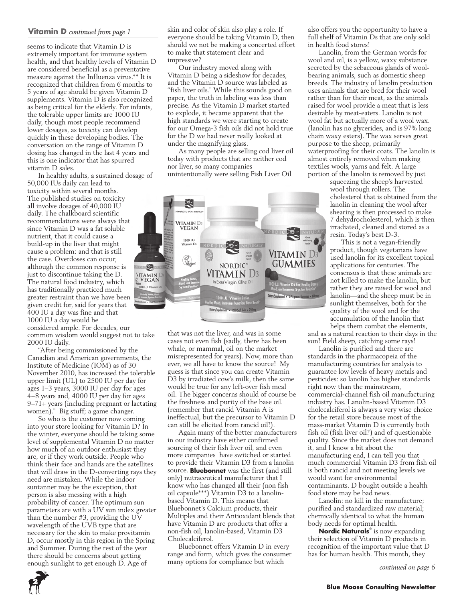#### **Vitamin D** *continued from page 1*

seems to indicate that Vitamin D is extremely important for immune system health, and that healthy levels of Vitamin D are considered beneficial as a preventative measure against the Influenza virus.\*\* It is recognized that children from 6 months to 5 years of age should be given Vitamin D supplements. Vitamin D is also recognized as being critical for the elderly. For infants, the tolerable upper limits are 1000 IU daily, though most people recommend lower dosages, as toxicity can develop quickly in these developing bodies. The conversation on the range of Vitamin D dosing has changed in the last 4 years and this is one indicator that has spurred vitamin D sales.

In healthy adults, a sustained dosage of 50,000 IUs daily can lead to toxicity within several months. The published studies on toxicity all involve dosages of 40,000 IU daily. The chalkboard scientific recommendations were always that since Vitamin D was a fat soluble nutrient, that it could cause a build-up in the liver that might cause a problem: and that is still the case. Overdoses can occur, although the common response is just to discontinue taking the D. The natural food industry, which has traditionally practiced much greater restraint than we have been given credit for, said for years that 400 IU a day was fine and that 1000 IU a day would be considered ample. For decades, our common wisdom would suggest not to take 2000 IU daily.

"After being commissioned by the Canadian and American governments, the Institute of Medicine (IOM) as of 30 November 2010, has increased the tolerable upper limit (UL) to 2500 IU per day for ages 1–3 years, 3000 IU per day for ages 4–8 years and, 4000 IU per day for ages 9–71+ years (including pregnant or lactating women)." Big stuff; a game changer.

So who is the customer now coming into your store looking for Vitamin D? In the winter, everyone should be taking some level of supplemental Vitamin D no matter how much of an outdoor enthusiast they are, or if they work outside. People who think their face and hands are the satellites that will draw in the D-converting rays they need are mistaken. While the indoor suntanner may be the exception, that person is also messing with a high probability of cancer. The optimum sun parameters are with a UV sun index greater than the number #3, providing the UV wavelength of the UVB type that are necessary for the skin to make provitamin D, occur mostly in this region in the Spring and Summer. During the rest of the year there should be concerns about getting enough sunlight to get enough D. Age of

skin and color of skin also play a role. If everyone should be taking Vitamin D, then should we not be making a concerted effort to make that statement clear and impressive?

Our industry moved along with Vitamin D being a sideshow for decades, and the Vitamin D source was labeled as "fish liver oils." While this sounds good on paper, the truth in labeling was less than precise. As the Vitamin D market started to explode, it became apparent that the high standards we were starting to create for our Omega-3 fish oils did not hold true for the D we had never really looked at under the magnifying glass.

As many people are selling cod liver oil today with products that are neither cod nor liver, so many companies unintentionally were selling Fish Liver Oil



that was not the liver, and was in some cases not even fish (sadly, there has been whale, or mammal, oil on the market misrepresented for years). Now, more than ever, we all have to know the source! My guess is that since you can create Vitamin D3 by irradiated cow's milk, then the same would be true for any left-over fish meal oil. The bigger concerns should of course be the freshness and purity of the base oil. (remember that rancid Vitamin A is ineffectual, but the precursor to Vitamin D can still be elicited from rancid oil!).

Again many of the better manufacturers in our industry have either confirmed sourcing of their fish liver oil, and even more companies have switched or started to provide their Vitamin D3 from a lanolin source. **Bluebonnet** was the first (and still only) nutraceutical manufacturer that I know who has changed all their (non fish oil capsule\*\*\*) Vitamin D3 to a lanolinbased Vitamin D. This means that Bluebonnet's Calcium products, their Multiples and their Antioxidant blends that have Vitamin D are products that offer a non-fish oil, lanolin-based, Vitamin D3 Cholecalciferol.

Bluebonnet offers Vitamin D in every range and form, which gives the consumer many options for compliance but which

also offers you the opportunity to have a full shelf of Vitamin Ds that are only sold in health food stores!

Lanolin, from the German words for wool and oil, is a yellow, waxy substance secreted by the sebaceous glands of woolbearing animals, such as domestic sheep breeds. The industry of lanolin production uses animals that are bred for their wool rather than for their meat, as the animals raised for wool provide a meat that is less desirable by meat-eaters. Lanolin is not wool fat but actually more of a wool wax. (lanolin has no glycerides, and is 97% long chain waxy esters). The wax serves great purpose to the sheep, primarily waterproofing for their coats. The lanolin is almost entirely removed when making textiles wools, yarns and felt. A large portion of the lanolin is removed by just

squeezing the sheep's harvested wool through rollers. The cholesterol that is obtained from the lanolin in cleaning the wool after shearing is then processed to make 7 dehydrocholesterol, which is then irradiated, cleaned and stored as a resin. Today's best D-3.

This is not a vegan-friendly product, though vegetarians have used lanolin for its excellent topical applications for centuries. The consensus is that these animals are not killed to make the lanolin, but rather they are raised for wool and lanolin—and the sheep must be in sunlight themselves, both for the quality of the wool and for the accumulation of the lanolin that helps them combat the elements,

and as a natural reaction to their days in the sun! Field sheep, catching some rays!

Lanolin is purified and there are standards in the pharmacopeia of the manufacturing countries for analysis to guarantee low levels of heavy metals and pesticides: so lanolin has higher standards right now than the mainstream, commercial-channel fish oil manufacturing industry has. Lanolin-based Vitamin D3 cholecalciferol is always a very wise choice for the retail store because most of the mass-market Vitamin D is currently both fish oil (fish liver oil?) and of questionable quality. Since the market does not demand it, and I know a bit about the manufacturing end, I can tell you that much commercial Vitamin D3 from fish oil is both rancid and not meeting levels we would want for environmental contaminants. D bought outside a health food store may be bad news.

Lanolin: no kill in the manufacture; purified and standardized raw material; chemically identical to what the human body needs for optimal health.

**Nordic Naturals**® is now expanding their selection of Vitamin D products in recognition of the important value that D has for human health. This month, they

*continued on page 6*

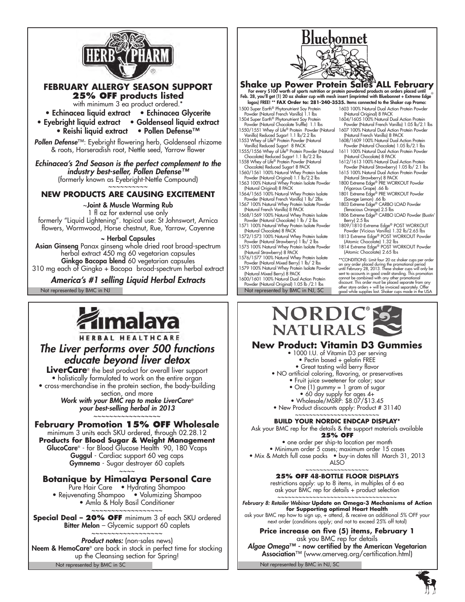

## **FEBRUARY ALLERGY SEASON SUPPORT 25% Off products listed**

with minimum 3 ea product ordered.\*

• Echinacea liquid extract • Echinacea Glycerite

• Eyebright liquid extract • Goldenseal liquid extract

• Reishi liquid extract • Pollen Defense™

*Pollen Defense*™: Eyebright flowering herb, Goldenseal rhizome & roots, Horseradish root, Nettle seed, Yarrow flower

*Echinacea's 2nd Season is the perfect complement to the industry best-seller, Pollen Defense™* (formerly known as Eyebright-Nettle Compound) ~~~~~~~~

### **NEW PRODUCTS ARE CAUSING EXCITEMENT**

~Joint & Muscle Warming Rub 1 fl oz for external use only formerly "Liquid Lightening". topical use: St Johnswort, Arnica flowers, Wormwood, Horse chestnut, Rue, Yarrow, Cayenne

#### ~ Herbal Capsules

Asian Ginseng Panax ginseng whole dried root broad-spectrum herbal extract 450 mg 60 vegetarian capsules **Ginkgo Bacopa blend** 60 vegetarian capsules 310 mg each of Gingko + Bacopa broad-spectrum herbal extract

*America's #1 selling Liquid Herbal Extracts*

Not represented by BMC in NJ Not represented by BMC in NJ, SC



# HERBAL HEALTHCARE *The Liver performs over 500 functions educate beyond liver detox*

**LiverCare**® the best product for overall liver support • holistically formulated to work on the entire organ • cross-merchandise in the protein section, the body-building section, and more *Work with your BMC rep to make LiverCare®*

*your best-selling herbal in 2013* ~~~~~~~~~~~~~~~~~

### **February Promotion 15% OFF Wholesale**

minimum 3 units each SKU ordered, through 02.28.12 **Products for Blood Sugar & Weight Management** GlucoCare® - for Blood Glucose Health 90, 180 Vcaps Guggul - Cardiac support 60 veg caps Gymnema - Sugar destroyer 60 caplets

#### $\sim$   $\sim$   $\sim$ **Botanique by Himalaya Personal Care**

Pure Hair Care • Hydrating Shampoo • Rejuvenating Shampoo • Volumizing Shampoo • Amla & Holy Basil Conditioner

~~~~~~~~~~~~~~~~~~ **Special Deal – 20% OFF** minimum 3 of each SKU ordered Bitter Melon - Glycemic support 60 caplets

~~~~~~~~~~~~~~~~~~ *Product notes:* (non-sales news) Neem & HemoCare® are back in stock in perfect time for stocking up the Cleansing section for Spring! Not represented by BMC in SC



**Shake up Power Protein Sales ALL February**<br>For every \$100 worth of sports nutrition or protein powdered products on orders placed until<br>Feb. 28, you'll get (1) 20 oz shaker cup with mesh insert (imprinted with Bluebonnet logos) FREE! \*\* **FAX Order to: 281-240-3535.** Items connected to the Shaker cup Promo:

- 1500 Super Earth® Phytonutrient Soy Protein
- Powder (Natural French Vanilla) 1.1 lbs 1504 Super Earth® Phytonutrient Soy Protein Powder (Natural Chocolate Truffle) 1.1 lbs
- 1550/1551 Whey of Life® Protein Powder (Natural Vanilla) Reduced Sugar! 1.1 lb/2.2 lbs 1607 100% Natural Dual Action Protein Powder (Natural French Vanilla) 8 PACK
- 1553 Whey of Life® Protein Powder (Natural
- Vanilla) Reduced Sugar! 8 PACK 1555/1556 Whey of Life® Protein Powder (Natural Chocolate) Reduced Sugar! 1.1 lb/2.2 lbs 1558 Whey of Life® Protein Powder (Natural Chocolate) Reduced Sugar! 8 PACK
- 1560/1561 100% Natural Whey Protein Isolate
- Powder (Natural Original) 1.1 lb/2.2 lbs 1563 100% Natural Whey Protein Isolate Powder
- (Natural Original) 8 PACK 1564/1565 100% Natural Whey Protein Isolate Powder (Natural French Vanilla) 1 lb/ 2lbs
- 1567 100% Natural Whey Protein Isolate Powder (Natural French Vanilla) 8 PACK 1568/1569 100% Natural Whey Protein Isolate
- Powder (Natural Chocolate) 1 lb / 2 lbs
- 1571 100% Natural Whey Protein Isolate Powder (Natural Chocolate) 8 PACK 1572/1573 100% Natural Whey Protein Isolate
- Powder (Natural Strawberry) 1 lb/ 2 lbs 1575 100% Natural Whey Protein Isolate Powder
- (Natural Strawberry) 8 PACK 1576/1577 100% Natural Whey Protein Isolate Powder (Natural Mixed Berry) 1 lb/ 2 lbs
- 1579 100% Natural Whey Protein Isolate Powder (Natural Mixed Berry) 8 PACK 1600/1601 100% Natural Dual Action Protein
- Powder (Natural Original) 1.05 lb /2.1 lbs
- 1603 100% Natural Dual Action Protein Powder (Natural Original) 8 PACK 1604/1605 100% Natural Dual Action Protein
- Powder (Natural French Vanilla) 1.05 lb/2.1 lbs
- 1608/1609 100% Natural Dual Action Protein
- Powder (Natural Chocolate) 1.05 lb/2.1 lbs 1611 100% Natural Dual Action Protein Powder (Natural Chocolate) 8 PACK
- 1612/1613 100% Natural Dual Action Protein Powder (Natural Strawberry) 1.05 lb/ 2.1 lbs
- 1615 100% Natural Dual Action Protein Powder
- (Natural Strawberry) 8 PACK 1800 Extreme Edge® PRE WORKOUT Powder (Vigorous Grape) .66 lb
- 1801 Extreme Edge® PRE WORKOUT Powder (Savage Lemon) .66 lb
- 1803 Extreme Edge® CARBO LOAD Powder (Tenacious Orange) 2.5 lbs 1806 Extreme Edge® CARBO LOAD Powder (Bustin'
- Berry) 2.5 lbs
- 1809/1810 Extreme Edge® POST WORKOUT Powder (Vicious Vanilla) 1.32 lb/2.65 lbs 1813 Extreme Edge® POST WORKOUT Powder
- (Atomic Chocolate) 1.32 lbs 1814 Extreme Edge® POST WORKOUT Powder (Atomic Chocolate) 2.65 lbs
- \*\*CONDITIONS: Limit four 20 oz shaker cups per order on any order placed during the promotional period<br>unit February 28, 2013. These shaker cups will only be<br>sent to accounts in good credit standing. This promotion<br>cannot be combined with any other promotional<br>discount. This



# **New Product: Vitamin D3 Gummies**

- 1000 I.U. of Vitamin D3 per serving
- Pectin based + gelatin FREE
- Great tasting wild berry flavor
- NO artificial coloring, flavoring, or preservatives
	- Fruit juice sweetener for color; sour
	- One (1) gummy = 1 gram of sugar
	- 60 day supply for ages 4+
- Wholesale/MSRP: \$8.07/\$13.45
- New Product discounts apply: Product # 31140

~~~~~~~~~~~~~~~~~~~~~~~~ **BUILD YOUR NORDIC ENDCAP DISPLAY\***

- Ask your BMC rep for the details & the support materials available **25% OFF**
	- one order per ship-to location per month
- Minimum order 5 cases; maximum order 15 cases • Mix & Match full case packs • buy-in dates till March 31, 2013
	- **ALSO** ~~~~~~~~~~~~~~~~~~
	- **25% OFF 48-BOTTLE FLOOR DIS**
	- restrictions apply: up to 8 items, in multiples of 6 ea ask your BMC rep for details + product selection
- ~~~~~~~~~~~~~~~~~~~~~~~~~~~~~~~~ *February 8: Retailer Webinar* **Update on Omega-3 Mechanisms of Action for Supporting optimal Heart Health** ask your BMC rep how to sign up, + attend, & receive an additional 5% OFF your next order (conditions apply; and not to exceed 25% off total)
	- **Price increase on five (5) items, February 1** ask you BMC rep for details

*Algae Omega*™ - now certified by the American Vegetarian Association™ (www.amerveg.org/certification.html)

Not represented by BMC in NJ, SC

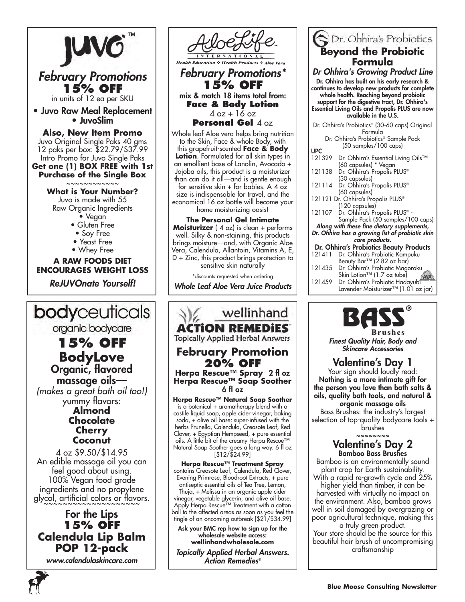

For the Lips **15% off Calendula Lip Balm POP 12-pack**

*www.calendulaskincare.com*



*February Promotions\** **15% OFF** mix & match 18 items total from: **Face & Body Lotion**   $4$  oz  $+$  16 oz

**Personal Gel** 4 oz

Whole leaf Aloe vera helps bring nutrition to the Skin, Face & whole Body, with this grapefruit-scented **Face & Body Lotion**. Formulated for all skin types in an emollient base of Lanolin, Avocado + Jojoba oils, this product is a moisturizer than can do it all—and is gentle enough for sensitive skin  $+$  for babies. A 4 oz size is indispensable for travel, and the economical 16 oz bottle will become your home moisturizing oasis!

**The Personal Gel Intimate Moisturizer** (4 oz) is clean + performs well. Silky & non-staining, this products brings moisture—and, with Organic Aloe Vera, Calendula, Allantoin, Vitamins A, E, D + Zinc, this product brings protection to sensitive skin naturally

\*discounts requested when ordering

*Whole Leaf Aloe Vera Juice Products*



tingle of an oncoming outbreak [\$21/\$34.99] Ask your BMC rep how to sign up for the wholesale website access:

**wellinhandwholesale.com** *Topically Applied Herbal Answers. Action Remedies®*

| <b>Beyond the Probiotic</b>                                              |
|--------------------------------------------------------------------------|
| Formula                                                                  |
| Dr Ohhira's Growing Product Line                                         |
| Dr. Ohhira has built on his early research &                             |
| continues to develop new products for complete                           |
| whole health. Reaching beyond probiotic                                  |
| support for the digestive tract, Dr. Ohhira's                            |
| Essential Living Oils and Propolis PLUS are now<br>available in the U.S. |
|                                                                          |
| Dr. Ohhira's Probiotics® (30-60 caps) Original                           |
| Formula<br>Dr. Ohhira's Probiotics® Sample Pack                          |
| (50 samples/100 caps)                                                    |
| <b>UPC</b>                                                               |
| Dr. Ohhira's Essential Living Oils™<br>121329                            |
| (60 capsules) * Vegan<br>121138<br>Dr. Ohhira's Propolis PLUS®           |
| (30 capsules)                                                            |
| Dr. Ohhira's Propolis PLUS®<br>121114                                    |
| (60 capsules)                                                            |
| 121121 Dr. Ohhira's Propolis PLUS®                                       |
| (120 capsules)<br>121107<br>Dr. Ohhira's Propolis PLUS <sup>®</sup> -    |
| Sample Pack (50 samples/100 caps)                                        |
| Along with these fine dietary supplements,                               |
| Dr. Ohhira has a growing list of probiotic skin                          |
| care products.                                                           |
| Dr. Ohhira's Probiotics Beauty Products                                  |
| 121411<br>Dr. Ohhira's Probiotic Kampuku<br>Beauty Bar™ (2.82 oz bar)    |
| 121435<br>Dr. Ohhira's Probiotic Magoroku                                |
| Skin Lotion™ (1.7 oz tube)                                               |

**C** Dr. Obbira's Probiotics

121459 Dr. Ohhira's Probiotic Hadayubi Lavender Moisturizer™ (1.01 oz jar)



*Finest Quality Hair, Body and* 

Valentine's Day 1

Your sign should loudly read: Nothing is a more intimate gift for the person you love than bath salts & oils, quality bath tools, and natural & organic massage oils

Bass Brushes: the industry's largest selection of top-quality bodycare tools + brushes

~~~~~~~~

# Valentine's Day 2 Bamboo Bass Brushes

Bamboo is an environmentally sound plant crop for Earth sustainability. With a rapid re-growth cycle and 25% higher yield than timber, it can be harvested with virtually no impact on the environment. Also, bamboo grows well in soil damaged by overgrazing or poor agricultural technique, making this

a truly green product. Your store should be the source for this beautiful hair brush of uncompromising craftsmanship

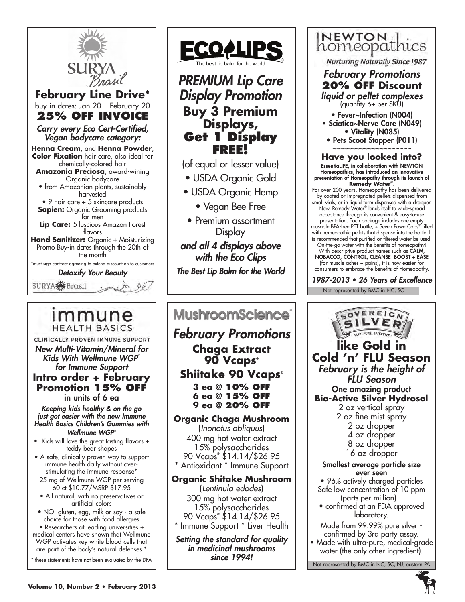

**HEALTH BASICS** CLINICALLY PROVEN IMMUNE SUPPORT *New Multi-Vitamin/Mineral for Kids With Wellmune WGP*® *for Immune Support* **Intro order + February Promotion 15% OFF** in units of 6 ea

*Keeping kids healthy & on the go just got easier with the new Immune Health Basics Children's Gummies with Wellmune WGP*®

- Kids will love the great tasting flavors + teddy bear shapes
- A safe, clinically proven way to support immune health daily without overstimulating the immune response\* 25 mg of Wellmune WGP per serving
- 60 ct \$10.77/MSRP \$17.95 • All natural, with no preservatives or
- artificial colors

• NO gluten, egg, milk or soy - a safe choice for those with food allergies • Researchers at leading universities + medical centers have shown that Wellmune WGP activates key white blood cells that

are part of the body's natural defenses.<sup>\*</sup> \* these statements have not been evaluated by the DFA



# *PREMIUM Lip Care Display Promotion* **Buy 3 Premium Displays, Get 1 Display FREE!**

(of equal or lesser value)

- USDA Organic Gold
- USDA Organic Hemp

• Vegan Bee Free

• Premium assortment **Display** 

*and all 4 displays above with the Eco Clips The Best Lip Balm for the World*

# **MushroomScience**®

*February Promotions* **Chaga Extract 90 Vcaps® Shiitake 90 Vcaps®** 

> **3 ea @ 10% OFF 6 ea @ 15% OFF 9 ea @ 20% OFF**

**Organic Chaga Mushroom**  (*Inonotus obliquus*) 400 mg hot water extract 15% polysaccharides 90 Vcaps**®** \$14.14/\$26.95

Antioxidant \* Immune Support

### **Organic Shitake Mushroom**

(*Lentinula edodes*) 300 mg hot water extract 15% polysaccharides 90 Vcaps**®** \$14.14/\$26.95 \* Immune Support \* Liver Health

*Setting the standard for quality in medicinal mushrooms since 1994!*



**Nurturing Naturally Since 1987** 

*February Promotions* **20% OFF Discount** *liquid or pellet complexes*

(quantity 6+ per SKU) • Fever~Infection (N004) • Sciatica~Nerve Care (N049)

• Vitality (N085)

• Pets Scoot Stopper (P011) ~~~~~~~~~~~~~~~~~~~~

**Have you looked into?** EssentiaLIFE, in collaboration with NEWTON Homeopathics, has introduced an innovative presentation of Homeopathy through its launch of **Remedy Water**®.

For over 200 years, Homeopathy has been delivered by coated or impregnated pellets dispensed from small vials, or in liquid form dispensed with a dropper. Now, Remedy Water® lends itself to wide-spread acceptance through its convenient & easy-to-use presentation. Each package includes one empty reusable BPA-free PET bottle, + Seven PowerCaps® filled with homeopathic pellets that dispense into the bottle. It is recommended that purified or filtered water be used. On-the-go water with the benefits of homeopathy! With descriptive product names such as CALM, NOBACCO, CONTROL, CLEANSE BOOST + EASE

(for muscle aches + pains), it is now easier for consumers to embrace the benefits of Homeopathy.

1987-2013 • 26 Years of Excellence

Not represented by BMC in NC, SC

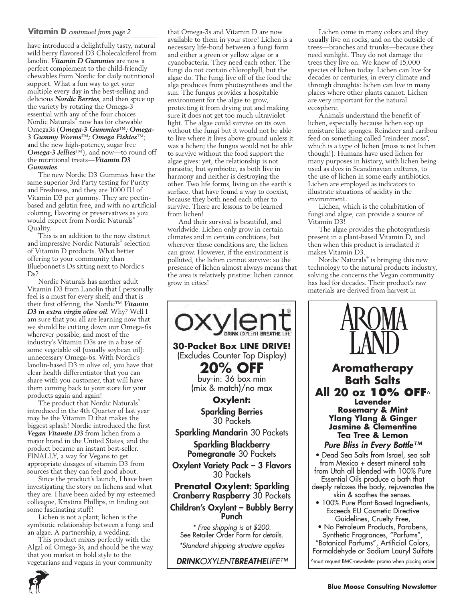#### **Vitamin D** *continued from page 2*

have introduced a delightfully tasty, natural wild berry flavored D3 Cholecalciferol from lanolin. *Vitamin D Gummies* are now a perfect complement to the child-friendly chewables from Nordic for daily nutritional support. What a fun way to get your multiple every day in the best-selling and delicious *Nordic Berries*, and then spice up the variety by rotating the Omega-3 essential with any of the four choices Nordic Naturals® now has for chewable Omega3s (*Omega-3 Gummies™; Omega-3 Gummy Worms™; Omega Fishies*™; and the new high-potency, sugar free *Omega-3 Jellies*™), and now—to round off the nutritional treats—*Vitamin D3 Gummies*.

The new Nordic D3 Gummies have the same superior 3rd Party testing for Purity and Freshness, and they are 1000 IU of Vitamin D3 per gummy. They are pectinbased and gelatin free, and with no artificial coloring, flavoring or preservatives as you would expect from Nordic Naturals® Quality.

This is an addition to the now distinct and impressive Nordic Naturals® selection of Vitamin D products. What better offering to your community than Bluebonnet's Ds sitting next to Nordic's  $Ds^2$ 

Nordic Naturals has another adult Vitamin D3 from Lanolin that I personally feel is a must for every shelf, and that is their first offering, the Nordic™ *Vitamin D3 in extra virgin olive oil*. Why? Well I am sure that you all are learning now that we should be cutting down our Omega-6s wherever possible, and most of the industry's Vitamin D3s are in a base of some vegetable oil (usually soybean oil): unnecessary Omega-6s. With Nordic's lanolin-based D3 in olive oil, you have that clear health differentiator that you can share with you customer, that will have them coming back to your store for your products again and again!

The product that Nordic Naturals® introduced in the 4th Quarter of last year may be the Vitamin D that makes the biggest splash! Nordic introduced the first *Vegan Vitamin D3* from lichen from a major brand in the United States, and the product became an instant best-seller. FINALLY, a way for Vegans to get appropriate dosages of vitamin D3 from sources that they can feel good about.

Since the product's launch, I have been investigating the story on lichens and what they are. I have been aided by my esteemed colleague, Kristina Phillips, in finding out some fascinating stuff!

Lichen is not a plant; lichen is the symbiotic relationship between a fungi and an algae. A partnership, a wedding.

This product mixes perfectly with the Algal oil Omega-3s, and should be the way that you market in bold style to the vegetarians and vegans in your community

**6**

that Omega-3s and Vitamin D are now available to them in your store! Lichen is a necessary life-bond between a fungi form and either a green or yellow algae or a cyanobacteria. They need each other. The fungi do not contain chlorophyll, but the algae do. The fungi live off of the food the alga produces from photosynthesis and the sun. The fungus provides a hospitable environment for the algae to grow, protecting it from drying out and making sure it does not get too much ultraviolet light. The algae could survive on its own without the fungi but it would not be able to live where it lives above ground unless it was a lichen; the fungus would not be able to survive without the food support the algae gives: yet, the relationship is not parasitic, but symbiotic, as both live in harmony and neither is destroying the other. Two life forms, living on the earth's surface, that have found a way to coexist, because they both need each other to survive. There are lessons to be learned from lichen!

And their survival is beautiful, and worldwide. Lichen only grow in certain climates and in certain conditions, but wherever those conditions are, the lichen can grow. However, if the environment is polluted, the lichen cannot survive: so the presence of lichen almost always means that the area is relatively pristine: lichen cannot grow in cities!



Lichen come in many colors and they usually live on rocks, and on the outside of trees—branches and trunks—because they need sunlight. They do not damage the trees they live on. We know of 15,000 species of lichen today. Lichen can live for decades or centuries, in every climate and through droughts: lichen can live in many places where other plants cannot. Lichen are very important for the natural ecosphere.

Animals understand the benefit of lichen, especially because lichen sop up moisture like sponges. Reindeer and caribou feed on something called "reindeer moss", which is a type of lichen (moss is not lichen though!). Humans have used lichen for many purposes in history, with lichen being used as dyes in Scandinavian cultures, to the use of lichen in some early antibiotics. Lichen are employed as indicators to illustrate situations of acidity in the environment.

Lichen, which is the cohabitation of fungi and algae, can provide a source of Vitamin D3!

The algae provides the photosynthesis present in a plant-based Vitamin D, and then when this product is irradiated it makes Vitamin D3.

Nordic Naturals® is bringing this new technology to the natural products industry, solving the concerns the Vegan community has had for decades. Their product's raw materials are derived from harvest in

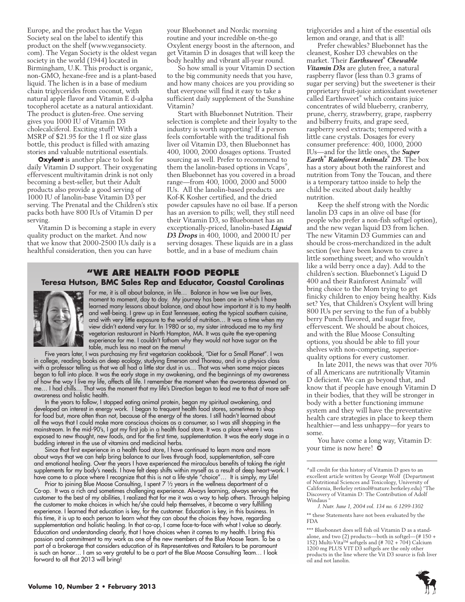Europe, and the product has the Vegan Society seal on the label to identify this product on the shelf (www.vegansociety. com). The Vegan Society is the oldest vegan society in the world (1944) located in Birmingham, U.K. This product is organic, non-GMO, hexane-free and is a plant-based liquid. The lichen is in a base of medium chain triglycerides from coconut, with natural apple flavor and Vitamin E d-alpha tocopherol acetate as a natural antioxidant. The product is gluten-free. One serving gives you 1000 IU of Vitamin D3 cholecalciferol. Exciting stuff! With a MSRP of \$21.95 for the 1 fl oz size glass bottle, this product is filled with amazing stories and valuable nutritional essentials.

**Oxylent** is another place to look for daily Vitamin D support. Their oxygenating effervescent multivitamin drink is not only becoming a best-seller, but their Adult products also provide a good serving of 1000 IU of lanolin-base Vitamin D3 per serving. The Prenatal and the Children's stix packs both have 800 IUs of Vitamin D per serving.

Vitamin D is becoming a staple in every quality product on the market. And now that we know that 2000-2500 IUs daily is a healthful consideration, then you can have

your Bluebonnet and Nordic morning routine and your incredible on-the-go Oxylent energy boost in the afternoon, and get Vitamin D in dosages that will keep the body healthy and vibrant all-year round.

So how small is your Vitamin D section to the big community needs that you have, and how many choices are you providing so that everyone will find it easy to take a sufficient daily supplement of the Sunshine Vitamin?

Start with Bluebonnet Nutrition. Their selection is complete and their loyalty to the industry is worth supporting! If a person feels comfortable with the traditional fish liver oil Vitamin D3, then Bluebonnet has 400, 1000, 2000 dosages options. Trusted sourcing as well. Prefer to recommend to them the lanolin-based options in Vcaps® , then Bluebonnet has you covered in a broad range—from 400, 1000, 2000 and 5000 IUs. All the lanolin-based products are Kof-K Kosher certified, and the dried powder capsules have no oil base. If a person has an aversion to pills; well, they still need their Vitamin D3, so Bluebonnet has an exceptionally-priced, lanolin-based *Liquid D3 Drops* in 400, 1000, and 2000 IU per serving dosages. These liquids are in a glass bottle, and in a base of medium chain

#### **"We Are health food people Teresa Hutson, BMC Sales Rep and Educator, Coastal Carolinas**



For me, it is all about balance, in life… Balance in how we live our lives, moment to moment, day to day. My journey has been one in which I have learned many lessons about balance, and about how important it is to my health and well-being. I grew up in East Tennessee, eating the typical southern cuisine, and with very little exposure to the world of nutrition… It was a time when my view didn't extend very far. In 1980 or so, my sister introduced me to my first vegetarian restaurant in North Hampton, MA. It was quite the eye-opening experience for me. I couldn't fathom why they would not have sugar on the table, much less no meat on the menu!

Five years later, I was purchasing my first vegetarian cookbook, "Diet for a Small Planet". I was in college, reading books on deep ecology, studying Emerson and Thoreau, and in a physics class with a professor telling us that we all had a little star dust in us… That was when some major pieces began to fall into place. It was the early stage in my awakening, and the beginnings of my awareness of how the way I live my life, affects all life. I remember the moment when the awareness dawned on me… I had chills… That was the moment that my life's Direction began to lead me to that of more selfawareness and holistic health.

In the years to follow, I stopped eating animal protein, began my spiritual awakening, and developed an interest in energy work. I began to frequent health food stores, sometimes to shop for food but, more often than not, because of the energy of the stores. I still hadn't learned about all the ways that I could make more conscious choices as a consumer, so I was still shopping in the mainstream. In the mid-90's, I got my first job in a health food store. It was a place where I was exposed to new thought, new foods, and for the first time, supplementation. It was the early stage in a budding interest in the use of vitamins and medicinal herbs.

Since that first experience in a health food store, I have continued to learn more and more about ways that we can help bring balance to our lives through food, supplementation, self-care and emotional healing. Over the years I have experienced the miraculous benefits of taking the right supplements for my body's needs. I have felt deep shifts within myself as a result of deep heart-work. I have come to a place where I recognize that this is not a life-style "choice"… It is simply, my Life!

Prior to joining Blue Moose Consulting, I spent 7 1/2 years in the wellness department of a Co-op. It was a rich and sometimes challenging experience. Always learning, always serving the customer to the best of my abilities, I realized that for me it was a way to help others. Through helping the customer to make choices in which he/she could help themselves, it became a very fulfilling experience. I learned that education is key, for the customer. Education is key, in this business. In this time, it is up to each person to learn what they can about the choices they have, regarding supplementation and holistic healing. In that co-op, I came face-to-face with what I value so dearly. Education and understanding clearly, that I have choices when it comes to my health. I bring this passion and commitment to my work as one of the new members of the Blue Moose Team. To be a part of a brokerage that considers education of its Representatives and Retailers to be paramount is such an honor… I am so very grateful to be a part of the Blue Moose Consulting Team… I look forward to all that 2013 will bring!

triglycerides and a hint of the essential oils lemon and orange, and that is all!

Prefer chewables? Bluebonnet has the cleanest, Kosher D3 chewables on the market. Their *Earthsweet® Chewable Vitamin D3s* are gluten free, a natural raspberry flavor (less than 0.3 grams of sugar per serving) but the sweetener is their proprietary fruit-juice antioxidant sweetener called Earthsweet® which contains juice concentrates of wild blueberry, cranberry, prune, cherry, strawberry, grape, raspberry and bilberry fruits, and grape seed, raspberry seed extracts; tempered with a little cane crystals. Dosages for every consumer preference: 400, 1000, 2000 IUs—and for the little ones, the *Super Earth® Rainforest Animalz® D3*. The box has a story about both the rainforest and nutrition from Tony the Toucan, and there is a temporary tattoo inside to help the child be excited about daily healthy nutrition.

Keep the shelf strong with the Nordic lanolin D3 caps in an olive oil base (for people who prefer a non-fish softgel option), and the new vegan liquid D3 from lichen. The new Vitamin D3 Gummies can and should be cross-merchandized in the adult section (we have been known to crave a little something sweet; and who wouldn't like a wild berry once a day). Add to the children's section. Bluebonnet's Liquid D 400 and their Rainforest Animalz® will bring choice to the Mom trying to get finicky children to enjoy being healthy. Kids set? Yes, that Children's Oxylent will bring 800 IUs per serving to the fun of a bubbly berry Punch flavored, and sugar free, effervescent. We should be about choices, and with the Blue Moose Consulting options, you should be able to fill your shelves with non-competing, superiorquality options for every customer.

In late 2011, the news was that over 70% of all Americans are nutritionally Vitamin D deficient. We can go beyond that, and know that if people have enough Vitamin D in their bodies, that they will be stronger in body with a better functioning immune system and they will have the preventative health care strategies in place to keep them healthier—and less unhappy—for years to some.

You have come a long way, Vitamin D: your time is now here! ❂

^all credit for this history of Vitamin D goes to an excellent article written by George Wolf (Department of Nutritional Sciences and Toxicology, University of California, Berkeley retinol@nature.berkeley.edu) "The Discovery of Vitamin D: The Contribution of Adolf Windaus<sup>1</sup>

*J. Nutr. June 1, 2004 vol. 134 no. 6 1299-1302* \*\* these Statements have not been evaluated by the FDA

\*\*\* Bluebonnet does sell fish oil Vitamin D as a standalone, and two (2) products—both in softgel—(# 150 + 152) Multi-Vita™ softgels and (# 702 + 704) Calcium 1200 mg PLUS VIT D3 softgels are the only other products in the line where the Vit D3 source is fish liver oil and not lanolin.